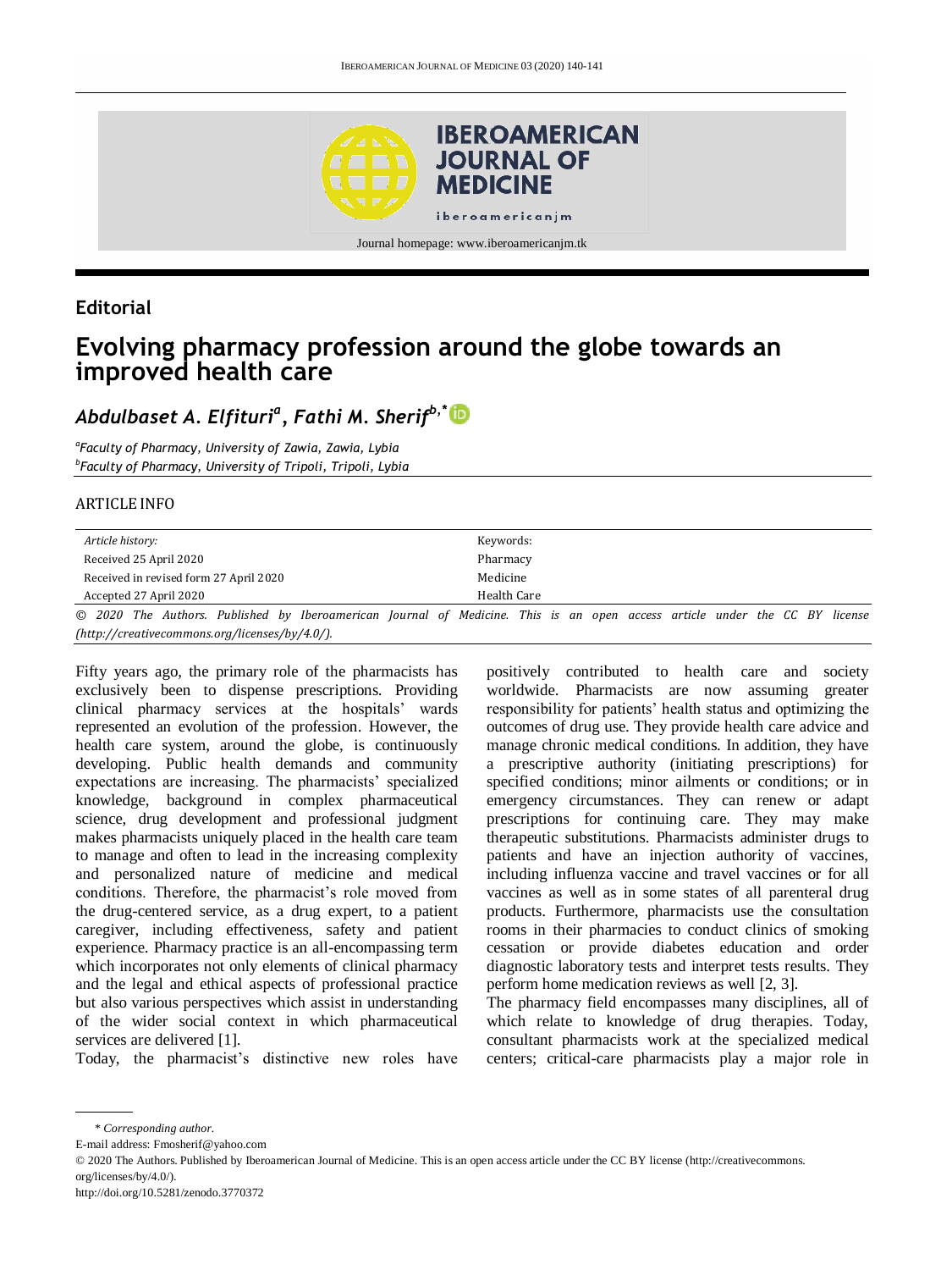

## **Editorial**

# **Evolving pharmacy profession around the globe towards an improved health care**

# *Abdulbaset A. Elfituri<sup>a</sup> , Fathi M. Sherifb,\**

*a Faculty of Pharmacy, University of Zawia, Zawia, Lybia b Faculty of Pharmacy, University of Tripoli, Tripoli, Lybia*

#### ARTICLE INFO

| Article history:                                                                         | Keywords:                                                                                                                  |
|------------------------------------------------------------------------------------------|----------------------------------------------------------------------------------------------------------------------------|
| Received 25 April 2020                                                                   | Pharmacy                                                                                                                   |
| Received in revised form 27 April 2020                                                   | Medicine                                                                                                                   |
| Accepted 27 April 2020                                                                   | Health Care                                                                                                                |
|                                                                                          | © 2020 The Authors. Published by Iberoamerican Journal of Medicine. This is an open access article under the CC BY license |
| $(http://creativecommons.org/licenses/by/4.0/">)(rective commons.org/licenses/by/4.0/).$ |                                                                                                                            |

Fifty years ago, the primary role of the pharmacists has exclusively been to dispense prescriptions. Providing clinical pharmacy services at the hospitals' wards represented an evolution of the profession. However, the health care system, around the globe, is continuously developing. Public health demands and community expectations are increasing. The pharmacists' specialized knowledge, background in complex pharmaceutical science, drug development and professional judgment makes pharmacists uniquely placed in the health care team to manage and often to lead in the increasing complexity and personalized nature of medicine and medical conditions. Therefore, the pharmacist's role moved from the drug-centered service, as a drug expert, to a patient caregiver, including effectiveness, safety and patient experience. Pharmacy practice is an all-encompassing term which incorporates not only elements of clinical pharmacy and the legal and ethical aspects of professional practice but also various perspectives which assist in understanding of the wider social context in which pharmaceutical services are delivered [1].

Today, the pharmacist's distinctive new roles have

positively contributed to health care and society worldwide. Pharmacists are now assuming greater responsibility for patients' health status and optimizing the outcomes of drug use. They provide health care advice and manage chronic medical conditions. In addition, they have a prescriptive authority (initiating prescriptions) for specified conditions; minor ailments or conditions; or in emergency circumstances. They can renew or adapt prescriptions for continuing care. They may make therapeutic substitutions. Pharmacists administer drugs to patients and have an injection authority of vaccines, including influenza vaccine and travel vaccines or for all vaccines as well as in some states of all parenteral drug products. Furthermore, pharmacists use the consultation rooms in their pharmacies to conduct clinics of smoking cessation or provide diabetes education and order diagnostic laboratory tests and interpret tests results. They perform home medication reviews as well [2, 3].

The pharmacy field encompasses many disciplines, all of which relate to knowledge of drug therapies. Today, consultant pharmacists work at the specialized medical centers; critical-care pharmacists play a major role in

E-mail address: Fmosherif@yahoo.com

© 2020 The Authors. Published by Iberoamerican Journal of Medicine. This is an open access article under the CC BY license (http://creativecommons. org/licenses/by/4.0/).

<sup>\*</sup> *Corresponding author.*